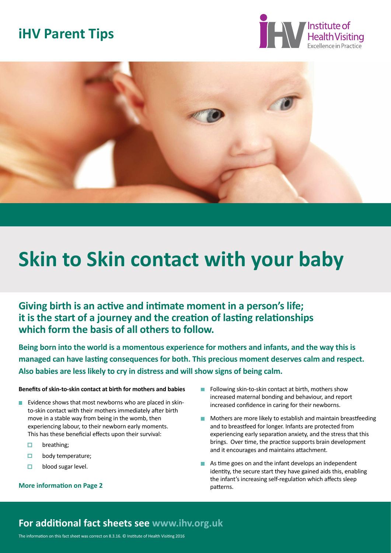# **iHV Parent Tips**





# **Skin to Skin contact with your baby**

**Giving birth is an active and intimate moment in a person's life; it is the start of a journey and the creation of lasting relationships which form the basis of all others to follow.** 

**Being born into the world is a momentous experience for mothers and infants, and the way this is managed can have lasting consequences for both. This precious moment deserves calm and respect. Also babies are less likely to cry in distress and will show signs of being calm.**

#### **Benefits of skin-to-skin contact at birth for mothers and babies**

- Evidence shows that most newborns who are placed in skin- to-skin contact with their mothers immediately after birth move in a stable way from being in the womb, then experiencing labour, to their newborn early moments. This has these beneficial effects upon their survival:
	- $\Box$ breathing;
	- $\Box$ body temperature;
	- $\Box$ blood sugar level.

#### **More information on Page 2 patterns.**

- Following skin-to-skin contact at birth, mothers show  $\overline{\phantom{a}}$ increased maternal bonding and behaviour, and report increased confidence in caring for their newborns.
- **Mothers are more likely to establish and maintain breastfeeding**  and to breastfeed for longer. Infants are protected from experiencing early separation anxiety, and the stress that this brings. Over time, the practice supports brain development and it encourages and maintains attachment.
- As time goes on and the infant develops an independent identity, the secure start they have gained aids this, enabling the infant's increasing self-regulation which affects sleep

## **For additional fact sheets see www.ihv.org.uk**